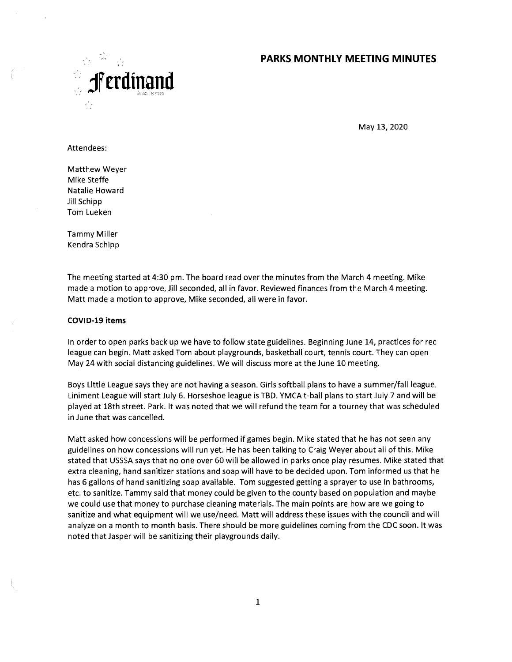# **PARKS MONTHLY MEETING MINUTES**



May 13, 2020

Attendees:

Matthew Weyer Mike Steffe Natalie Howard Jill Schipp Tom Lueken

Tammy Miller Kendra Schipp

The meeting started at 4:30 pm. The board read over the minutes from the March 4 meeting. Mike made a motion to approve, Jill seconded, all in favor. Reviewed finances from the March 4 meeting. Matt made a motion to approve, Mike seconded, all were in favor.

#### **COVID-19 items**

In order to open parks back up we have to follow state guidelines. Beginning June 14, practices for rec league can begin. Matt asked Tom about playgrounds, basketball court, tennis court. They can open May 24 with social distancing guidelines. We will discuss more at the June 10 meeting.

Boys Uttle League says they are not having a season. Girls softball plans to have a summer/fall league. Liniment League will start July 6. Horseshoe league is TBD. YMCA t-ball plans to start July 7 and will be played at 18th street. Park. It was noted that we will refund the team for a tourney that was scheduled in June that was cancelled.

Matt asked how concessions will be performed if games begin. Mike stated that he has not seen any guidelines on how concessions will run yet. He has been talking to Craig Weyer about all of this. Mike stated that USSSA says that no one over 60 will be allowed in parks once play resumes. Mike stated that extra cleaning, hand sanitizer stations and soap will have to be decided upon. Tom informed us that he has 6 gallons of hand sanitizing soap available. Tom suggested getting a sprayer to use in bathrooms, etc. to sanitize. Tannmy said that money could be given to the county based on population and maybe we could use that money to purchase cleaning materials. The main points are how are we going to sanitize and what equipment will we use/need. Matt will address these issues with the council and will analyze on a month to month basis. There should be more guidelines coming from the CDC soon. It was noted that Jasper will be sanitizing their playgrounds daily.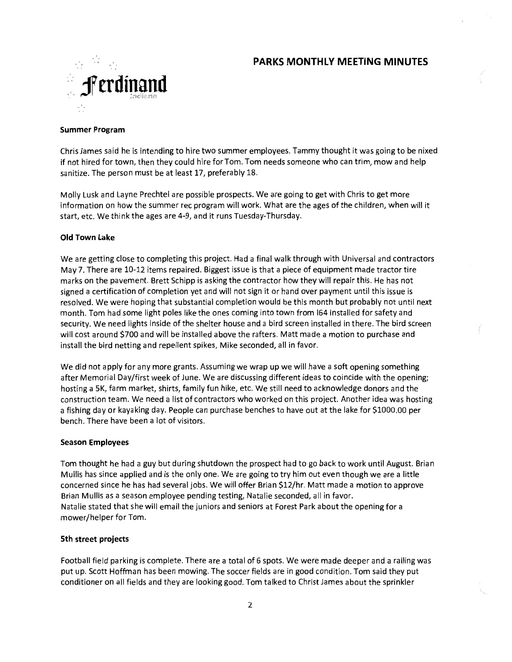## **PARKS MONTHLY MEETING MINUTES**



### **Summer Program**

Chris James said he is intending to hire two summer employees. Tammy thought it was going to be nixed if not hired for town, then they could hire for Tom. Tom needs someone who can trim, mow and help sanitize. The person must be at least 17, preferably 18.

Molly Lusk and Layne Prechtel are possible prospects. We are going to get with Chris to get more information on how the summer rec program will work. What are the ages of the children, when will it start, etc. We think the ages are 4-9, and it runs Tuesday-Thursday.

### **Old Town Lake**

We are getting close to completing this project. Had a final walk through with Universal and contractors May 7. There are 10-12 items repaired. Biggest issue is that a piece of equipment made tractor tire nnarks on the pavement. Brett Schipp is asking the contractor how they will repair this. He has not signed a certification of completion yet and will not sign it or hand over payment until this issue is resolved. We were hoping that substantial completion would be this month but probably not until next month. Tom had some light poles like the ones coming into town from 164 installed for safety and security. We need lights inside of the shelter house and a bird screen installed in there. The bird screen will cost around \$700 and will be installed above the rafters. Matt made a motion to purchase and install the bird netting and repellent spikes, Mike seconded, all in favor.

We did not apply for any more grants. Assuming we wrap up we will have a soft opening something after Memorial Day/first week of June. We are discussing different ideas to coincide with the opening; hosting a 5K, farm market, shirts, family fun hike, etc. We still need to acknowledge donors and the construction team. We need a list of contractors who worked on this project. Another idea was hosting a fishing day or kayaking day. People can purchase benches to have out at the lake for \$1000.00 per bench. There have been a lot of visitors.

### **Season Employees**

Tom thought he had a guy but during shutdown the prospect had to go back to work until August. Brian Mullis has since applied and is the only one. We are going to try him out even though we are a little concerned since he has had several jobs. We will offer Brian \$12/hr. Matt made a motion to approve Brian Mullis as a season employee pending testing, Natalie seconded, all in favor. Natalie stated that she will email the juniors and seniors at Forest Park about the opening for a mower/helper for Tom.

### **5th street projects**

Football field parking is complete. There are a total of 6 spots. We were made deeper and a railing was put up. Scott Hoffman has been mowing. The soccer fields are in good condition. Tom said they put conditioner on all fields and they are looking good. Tom talked to Christ James about the sprinkler